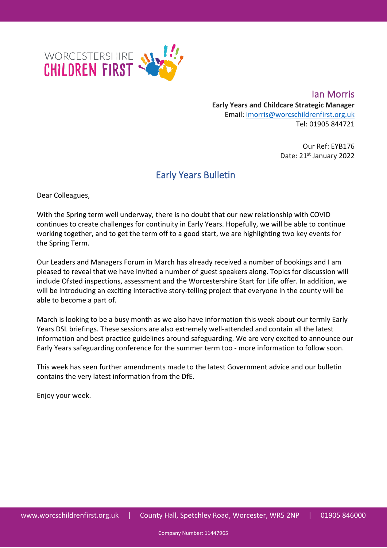

**Ian Morris Early Years and Childcare Strategic Manager** Email: [imorris@worcschildrenfirst.org.uk](mailto:imorris@worcschildrenfirst.org.uk) Tel: 01905 844721

> Our Ref: EYB176 Date: 21st January 2022

## Early Years Bulletin

Dear Colleagues,

With the Spring term well underway, there is no doubt that our new relationship with COVID continues to create challenges for continuity in Early Years. Hopefully, we will be able to continue working together, and to get the term off to a good start, we are highlighting two key events for the Spring Term.

Our Leaders and Managers Forum in March has already received a number of bookings and I am pleased to reveal that we have invited a number of guest speakers along. Topics for discussion will include Ofsted inspections, assessment and the Worcestershire Start for Life offer. In addition, we will be introducing an exciting interactive story-telling project that everyone in the county will be able to become a part of.

March is looking to be a busy month as we also have information this week about our termly Early Years DSL briefings. These sessions are also extremely well-attended and contain all the latest information and best practice guidelines around safeguarding. We are very excited to announce our Early Years safeguarding conference for the summer term too - more information to follow soon.

This week has seen further amendments made to the latest Government advice and our bulletin contains the very latest information from the DfE.

Enjoy your week.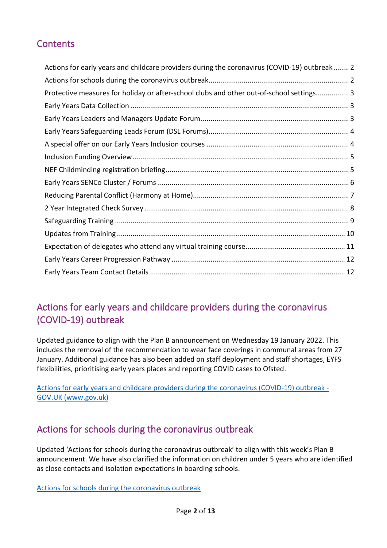## **Contents**

| Actions for early years and childcare providers during the coronavirus (COVID-19) outbreak 2 |  |
|----------------------------------------------------------------------------------------------|--|
|                                                                                              |  |
| Protective measures for holiday or after-school clubs and other out-of-school settings 3     |  |
|                                                                                              |  |
|                                                                                              |  |
|                                                                                              |  |
|                                                                                              |  |
|                                                                                              |  |
|                                                                                              |  |
|                                                                                              |  |
|                                                                                              |  |
|                                                                                              |  |
|                                                                                              |  |
|                                                                                              |  |
|                                                                                              |  |
|                                                                                              |  |
|                                                                                              |  |

# <span id="page-1-0"></span>Actions for early years and childcare providers during the coronavirus (COVID-19) outbreak

Updated guidance to align with the Plan B announcement on Wednesday 19 January 2022. This includes the removal of the recommendation to wear face coverings in communal areas from 27 January. Additional guidance has also been added on staff deployment and staff shortages, EYFS flexibilities, prioritising early years places and reporting COVID cases to Ofsted.

[Actions for early years and childcare providers during the coronavirus \(COVID-19\) outbreak -](https://www.gov.uk/government/publications/coronavirus-covid-19-early-years-and-childcare-closures) [GOV.UK \(www.gov.uk\)](https://www.gov.uk/government/publications/coronavirus-covid-19-early-years-and-childcare-closures)

## <span id="page-1-1"></span>Actions for schools during the coronavirus outbreak

Updated 'Actions for schools during the coronavirus outbreak' to align with this week's Plan B announcement. We have also clarified the information on children under 5 years who are identified as close contacts and isolation expectations in boarding schools.

[Actions for schools during the coronavirus outbreak](https://eur02.safelinks.protection.outlook.com/?url=https%3A%2F%2Fwww.gov.uk%2Fgovernment%2Fpublications%2Factions-for-schools-during-the-coronavirus-outbreak%3Futm_medium%3Demail%26utm_campaign%3Dgovuk-notifications-topic%26utm_source%3D398d77ac-0ef4-4263-a67e-e11b3770e11e%26utm_content%3Dimmediately&data=04%7C01%7CIMorris%40worcschildrenfirst.org.uk%7C43cdd63757d94d0c14a308d9db64976d%7Cacf41887bd3745d39e6547cde48dc85a%7C0%7C0%7C637782047346456159%7CUnknown%7CTWFpbGZsb3d8eyJWIjoiMC4wLjAwMDAiLCJQIjoiV2luMzIiLCJBTiI6Ik1haWwiLCJXVCI6Mn0%3D%7C3000&sdata=nW4mzT5vcPxQavBWI0NyUa6BrTy0KhAdSf0K17yAj%2Bk%3D&reserved=0)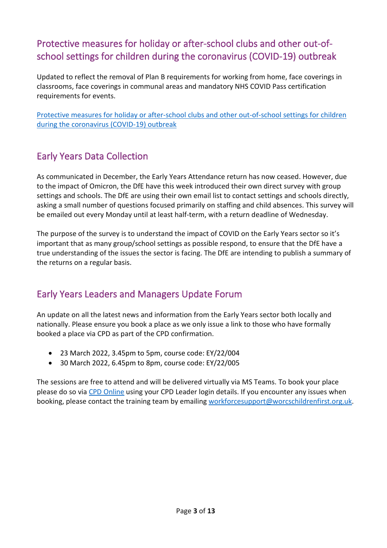# <span id="page-2-0"></span>Protective measures for holiday or after-school clubs and other out-ofschool settings for children during the coronavirus (COVID-19) outbreak

Updated to reflect the removal of Plan B requirements for working from home, face coverings in classrooms, face coverings in communal areas and mandatory NHS COVID Pass certification requirements for events.

[Protective measures for holiday or after-school clubs and other out-of-school settings for children](https://eur02.safelinks.protection.outlook.com/?url=https%3A%2F%2Fwww.gov.uk%2Fgovernment%2Fpublications%2Fprotective-measures-for-holiday-or-after-school-clubs-and-other-out-of-school-settings-for-children-during-the-coronavirus-covid-19-outbreak%3Futm_medium%3Demail%26utm_campaign%3Dgovuk-notifications-topic%26utm_source%3De089077a-4341-4eea-abc0-78aad3ad26a4%26utm_content%3Dimmediately&data=04%7C01%7CIMorris%40worcschildrenfirst.org.uk%7Cf743710dcbbe4a79e3ae08d9db670c20%7Cacf41887bd3745d39e6547cde48dc85a%7C0%7C0%7C637782057889603009%7CUnknown%7CTWFpbGZsb3d8eyJWIjoiMC4wLjAwMDAiLCJQIjoiV2luMzIiLCJBTiI6Ik1haWwiLCJXVCI6Mn0%3D%7C3000&sdata=cAfpNbuUbzMcaqX43kYZtyNF32suReAJJPi4Ox1aRuY%3D&reserved=0)  [during the coronavirus \(COVID-19\) outbreak](https://eur02.safelinks.protection.outlook.com/?url=https%3A%2F%2Fwww.gov.uk%2Fgovernment%2Fpublications%2Fprotective-measures-for-holiday-or-after-school-clubs-and-other-out-of-school-settings-for-children-during-the-coronavirus-covid-19-outbreak%3Futm_medium%3Demail%26utm_campaign%3Dgovuk-notifications-topic%26utm_source%3De089077a-4341-4eea-abc0-78aad3ad26a4%26utm_content%3Dimmediately&data=04%7C01%7CIMorris%40worcschildrenfirst.org.uk%7Cf743710dcbbe4a79e3ae08d9db670c20%7Cacf41887bd3745d39e6547cde48dc85a%7C0%7C0%7C637782057889603009%7CUnknown%7CTWFpbGZsb3d8eyJWIjoiMC4wLjAwMDAiLCJQIjoiV2luMzIiLCJBTiI6Ik1haWwiLCJXVCI6Mn0%3D%7C3000&sdata=cAfpNbuUbzMcaqX43kYZtyNF32suReAJJPi4Ox1aRuY%3D&reserved=0)

# <span id="page-2-1"></span>Early Years Data Collection

As communicated in December, the Early Years Attendance return has now ceased. However, due to the impact of Omicron, the DfE have this week introduced their own direct survey with group settings and schools. The DfE are using their own email list to contact settings and schools directly, asking a small number of questions focused primarily on staffing and child absences. This survey will be emailed out every Monday until at least half-term, with a return deadline of Wednesday.

The purpose of the survey is to understand the impact of COVID on the Early Years sector so it's important that as many group/school settings as possible respond, to ensure that the DfE have a true understanding of the issues the sector is facing. The DfE are intending to publish a summary of the returns on a regular basis.

# <span id="page-2-2"></span>Early Years Leaders and Managers Update Forum

An update on all the latest news and information from the Early Years sector both locally and nationally. Please ensure you book a place as we only issue a link to those who have formally booked a place via CPD as part of the CPD confirmation.

- 23 March 2022, 3.45pm to 5pm, course code: EY/22/004
- 30 March 2022, 6.45pm to 8pm, course code: EY/22/005

The sessions are free to attend and will be delivered virtually via MS Teams. To book your place please do so via [CPD Online](https://eduservscpd.worcschildrenfirst.org.uk/) using your CPD Leader login details. If you encounter any issues when booking, please contact the training team by emailing [workforcesupport@worcschildrenfirst.org.uk.](mailto:workforcesupport@worcschildrenfirst.org.uk)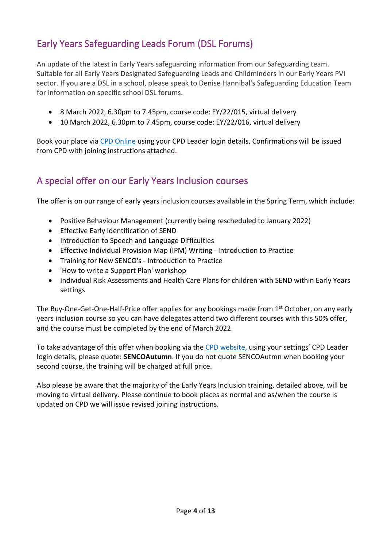# <span id="page-3-0"></span>Early Years Safeguarding Leads Forum (DSL Forums)

An update of the latest in Early Years safeguarding information from our Safeguarding team. Suitable for all Early Years Designated Safeguarding Leads and Childminders in our Early Years PVI sector. If you are a DSL in a school, please speak to Denise Hannibal's Safeguarding Education Team for information on specific school DSL forums.

- 8 March 2022, 6.30pm to 7.45pm, course code: EY/22/015, virtual delivery
- 10 March 2022, 6.30pm to 7.45pm, course code: EY/22/016, virtual delivery

Book your place via [CPD Online](https://eduservscpd.worcschildrenfirst.org.uk/) using your CPD Leader login details. Confirmations will be issued from CPD with joining instructions attached.

### <span id="page-3-1"></span>A special offer on our Early Years Inclusion courses

The offer is on our range of early years inclusion courses available in the Spring Term, which include:

- Positive Behaviour Management (currently being rescheduled to January 2022)
- Effective Early Identification of SEND
- Introduction to Speech and Language Difficulties
- Effective Individual Provision Map (IPM) Writing Introduction to Practice
- Training for New SENCO's Introduction to Practice
- 'How to write a Support Plan' workshop
- Individual Risk Assessments and Health Care Plans for children with SEND within Early Years settings

The Buy-One-Get-One-Half-Price offer applies for any bookings made from  $1<sup>st</sup>$  October, on any early years inclusion course so you can have delegates attend two different courses with this 50% offer, and the course must be completed by the end of March 2022.

To take advantage of this offer when booking via the [CPD website,](https://eduservscpd.worcschildrenfirst.org.uk/) using your settings' CPD Leader login details, please quote: **SENCOAutumn**. If you do not quote SENCOAutmn when booking your second course, the training will be charged at full price.

Also please be aware that the majority of the Early Years Inclusion training, detailed above, will be moving to virtual delivery. Please continue to book places as normal and as/when the course is updated on CPD we will issue revised joining instructions.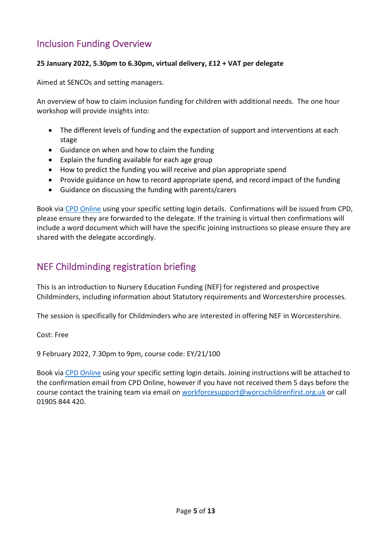## <span id="page-4-0"></span>Inclusion Funding Overview

### **25 January 2022, 5.30pm to 6.30pm, virtual delivery, £12 + VAT per delegate**

Aimed at SENCOs and setting managers.

An overview of how to claim inclusion funding for children with additional needs. The one hour workshop will provide insights into:

- The different levels of funding and the expectation of support and interventions at each stage
- Guidance on when and how to claim the funding
- Explain the funding available for each age group
- How to predict the funding you will receive and plan appropriate spend
- Provide guidance on how to record appropriate spend, and record impact of the funding
- Guidance on discussing the funding with parents/carers

Book via [CPD Online](https://eur02.safelinks.protection.outlook.com/?url=https%3A%2F%2Fs6.newzapp.co.uk%2Ft%2Fclick%2F1514886730%2F122632491%2F15464113&data=04%7C01%7CROakley2%40worcschildrenfirst.org.uk%7C6b4377af067e41a7c90808d9a2a354c4%7Cacf41887bd3745d39e6547cde48dc85a%7C0%7C0%7C637719644653898178%7CUnknown%7CTWFpbGZsb3d8eyJWIjoiMC4wLjAwMDAiLCJQIjoiV2luMzIiLCJBTiI6Ik1haWwiLCJXVCI6Mn0%3D%7C1000&sdata=wOyIzKZPDnmG%2FWrPHwVvIXtMTlkwNzBFQdD1POACVWM%3D&reserved=0) using your specific setting login details. Confirmations will be issued from CPD, please ensure they are forwarded to the delegate. If the training is virtual then confirmations will include a word document which will have the specific joining instructions so please ensure they are shared with the delegate accordingly.

### <span id="page-4-1"></span>NEF Childminding registration briefing

This is an introduction to Nursery Education Funding (NEF) for registered and prospective Childminders, including information about Statutory requirements and Worcestershire processes.

The session is specifically for Childminders who are interested in offering NEF in Worcestershire.

Cost: Free

9 February 2022, 7.30pm to 9pm, course code: EY/21/100

Book via [CPD Online](https://eur02.safelinks.protection.outlook.com/?url=https%3A%2F%2Fs6.newzapp.co.uk%2Ft%2Fclick%2F1521458394%2F122632491%2F15531282&data=04%7C01%7CROakley2%40worcschildrenfirst.org.uk%7C33ec607860cd4d7529e708d9bfd83c6f%7Cacf41887bd3745d39e6547cde48dc85a%7C0%7C0%7C637751757710798898%7CUnknown%7CTWFpbGZsb3d8eyJWIjoiMC4wLjAwMDAiLCJQIjoiV2luMzIiLCJBTiI6Ik1haWwiLCJXVCI6Mn0%3D%7C3000&sdata=MKqPcE6UnlRR1bStd7eT6zZFbcEG%2Br2EVF7KNRd9aOQ%3D&reserved=0) using your specific setting login details. Joining instructions will be attached to the confirmation email from CPD Online, however if you have not received them 5 days before the course contact the training team via email on [workforcesupport@worcschildrenfirst.org.uk](mailto:workforcesupport@worcschildrenfirst.org.uk) or call 01905 844 420.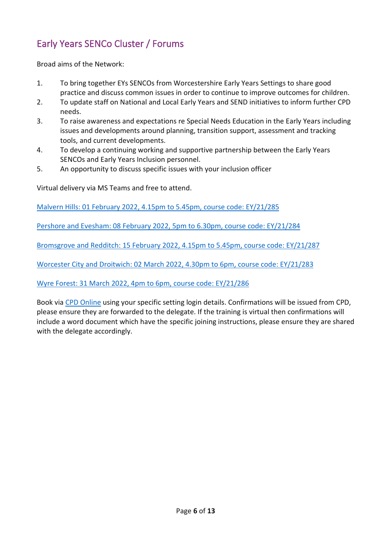# <span id="page-5-0"></span>Early Years SENCo Cluster / Forums

Broad aims of the Network:

- 1. To bring together EYs SENCOs from Worcestershire Early Years Settings to share good practice and discuss common issues in order to continue to improve outcomes for children.
- 2. To update staff on National and Local Early Years and SEND initiatives to inform further CPD needs.
- 3. To raise awareness and expectations re Special Needs Education in the Early Years including issues and developments around planning, transition support, assessment and tracking tools, and current developments.
- 4. To develop a continuing working and supportive partnership between the Early Years SENCOs and Early Years Inclusion personnel.
- 5. An opportunity to discuss specific issues with your inclusion officer

Virtual delivery via MS Teams and free to attend.

[Malvern Hills: 01 February 2022, 4.15pm to 5.45pm, course code: EY/21/285](https://eur02.safelinks.protection.outlook.com/?url=https%3A%2F%2Fs6.newzapp.co.uk%2Ft%2Fclick%2F1521458394%2F122632491%2F15531277&data=04%7C01%7CROakley2%40worcschildrenfirst.org.uk%7C33ec607860cd4d7529e708d9bfd83c6f%7Cacf41887bd3745d39e6547cde48dc85a%7C0%7C0%7C637751757710749124%7CUnknown%7CTWFpbGZsb3d8eyJWIjoiMC4wLjAwMDAiLCJQIjoiV2luMzIiLCJBTiI6Ik1haWwiLCJXVCI6Mn0%3D%7C3000&sdata=g0AiJEzbl9cTYWJYKcv8tvqKENOjPQYyvsdMc2rhYu0%3D&reserved=0)

[Pershore and Evesham: 08 February 2022, 5pm to 6.30pm, course code: EY/21/284](https://eur02.safelinks.protection.outlook.com/?url=https%3A%2F%2Fs6.newzapp.co.uk%2Ft%2Fclick%2F1521458394%2F122632491%2F15531278&data=04%7C01%7CROakley2%40worcschildrenfirst.org.uk%7C33ec607860cd4d7529e708d9bfd83c6f%7Cacf41887bd3745d39e6547cde48dc85a%7C0%7C0%7C637751757710759100%7CUnknown%7CTWFpbGZsb3d8eyJWIjoiMC4wLjAwMDAiLCJQIjoiV2luMzIiLCJBTiI6Ik1haWwiLCJXVCI6Mn0%3D%7C3000&sdata=Kt0MifU%2B6cWA9NlXCKYZ6B8t%2B8BAn%2B7UhZLs7Ee5M00%3D&reserved=0)

[Bromsgrove and Redditch: 15 February 2022, 4.15pm to 5.45pm, course code: EY/21/287](https://eur02.safelinks.protection.outlook.com/?url=https%3A%2F%2Fs6.newzapp.co.uk%2Ft%2Fclick%2F1521458394%2F122632491%2F15531279&data=04%7C01%7CROakley2%40worcschildrenfirst.org.uk%7C33ec607860cd4d7529e708d9bfd83c6f%7Cacf41887bd3745d39e6547cde48dc85a%7C0%7C0%7C637751757710769027%7CUnknown%7CTWFpbGZsb3d8eyJWIjoiMC4wLjAwMDAiLCJQIjoiV2luMzIiLCJBTiI6Ik1haWwiLCJXVCI6Mn0%3D%7C3000&sdata=1Wa33WLjSL76UVOLa8K2z0MF4m%2BEauaGx1RZIBxbz7o%3D&reserved=0)

[Worcester City and Droitwich: 02 March 2022, 4.30pm to 6pm, course code: EY/21/283](https://eur02.safelinks.protection.outlook.com/?url=https%3A%2F%2Fs6.newzapp.co.uk%2Ft%2Fclick%2F1521458394%2F122632491%2F15531280&data=04%7C01%7CROakley2%40worcschildrenfirst.org.uk%7C33ec607860cd4d7529e708d9bfd83c6f%7Cacf41887bd3745d39e6547cde48dc85a%7C0%7C0%7C637751757710778992%7CUnknown%7CTWFpbGZsb3d8eyJWIjoiMC4wLjAwMDAiLCJQIjoiV2luMzIiLCJBTiI6Ik1haWwiLCJXVCI6Mn0%3D%7C3000&sdata=mGlxi%2F8BiRGhhyfcD8Xmc11I6IQMSAuFZO7xoRu3dao%3D&reserved=0)

[Wyre Forest: 31 March 2022, 4pm to 6pm, course code: EY/21/286](https://eur02.safelinks.protection.outlook.com/?url=https%3A%2F%2Fs6.newzapp.co.uk%2Ft%2Fclick%2F1521458394%2F122632491%2F15531281&data=04%7C01%7CROakley2%40worcschildrenfirst.org.uk%7C33ec607860cd4d7529e708d9bfd83c6f%7Cacf41887bd3745d39e6547cde48dc85a%7C0%7C0%7C637751757710788938%7CUnknown%7CTWFpbGZsb3d8eyJWIjoiMC4wLjAwMDAiLCJQIjoiV2luMzIiLCJBTiI6Ik1haWwiLCJXVCI6Mn0%3D%7C3000&sdata=zphfXWIrLy%2BzIbU2H8jZyuYsiHXra0vyoLX1jxnBv88%3D&reserved=0)

Book via [CPD Online](https://eur02.safelinks.protection.outlook.com/?url=https%3A%2F%2Fs6.newzapp.co.uk%2Ft%2Fclick%2F1521458394%2F122632491%2F15531282&data=04%7C01%7CROakley2%40worcschildrenfirst.org.uk%7C33ec607860cd4d7529e708d9bfd83c6f%7Cacf41887bd3745d39e6547cde48dc85a%7C0%7C0%7C637751757710798898%7CUnknown%7CTWFpbGZsb3d8eyJWIjoiMC4wLjAwMDAiLCJQIjoiV2luMzIiLCJBTiI6Ik1haWwiLCJXVCI6Mn0%3D%7C3000&sdata=MKqPcE6UnlRR1bStd7eT6zZFbcEG%2Br2EVF7KNRd9aOQ%3D&reserved=0) using your specific setting login details. Confirmations will be issued from CPD, please ensure they are forwarded to the delegate. If the training is virtual then confirmations will include a word document which have the specific joining instructions, please ensure they are shared with the delegate accordingly.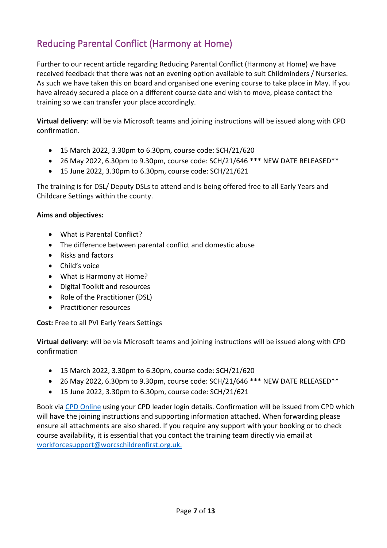# <span id="page-6-0"></span>Reducing Parental Conflict (Harmony at Home)

Further to our recent article regarding Reducing Parental Conflict (Harmony at Home) we have received feedback that there was not an evening option available to suit Childminders / Nurseries. As such we have taken this on board and organised one evening course to take place in May. If you have already secured a place on a different course date and wish to move, please contact the training so we can transfer your place accordingly.

**Virtual delivery**: will be via Microsoft teams and joining instructions will be issued along with CPD confirmation.

- 15 March 2022, 3.30pm to 6.30pm, course code: SCH/21/620
- 26 May 2022, 6.30pm to 9.30pm, course code: SCH/21/646 \*\*\* NEW DATE RELEASED\*\*
- 15 June 2022, 3.30pm to 6.30pm, course code: SCH/21/621

The training is for DSL/ Deputy DSLs to attend and is being offered free to all Early Years and Childcare Settings within the county.

### **Aims and objectives:**

- What is Parental Conflict?
- The difference between parental conflict and domestic abuse
- Risks and factors
- Child's voice
- What is Harmony at Home?
- Digital Toolkit and resources
- Role of the Practitioner (DSL)
- Practitioner resources

**Cost:** Free to all PVI Early Years Settings

**Virtual delivery**: will be via Microsoft teams and joining instructions will be issued along with CPD confirmation

- 15 March 2022, 3.30pm to 6.30pm, course code: SCH/21/620
- 26 May 2022, 6.30pm to 9.30pm, course code: SCH/21/646 \*\*\* NEW DATE RELEASED\*\*
- 15 June 2022, 3.30pm to 6.30pm, course code: SCH/21/621

Book via [CPD Online](https://eduservscpd.worcschildrenfirst.org.uk/) using your CPD leader login details. Confirmation will be issued from CPD which will have the joining instructions and supporting information attached. When forwarding please ensure all attachments are also shared. If you require any support with your booking or to check course availability, it is essential that you contact the training team directly via email at [workforcesupport@worcschildrenfirst.org.uk.](mailto:workforcesupport@worcschildrenfirst.org.uk)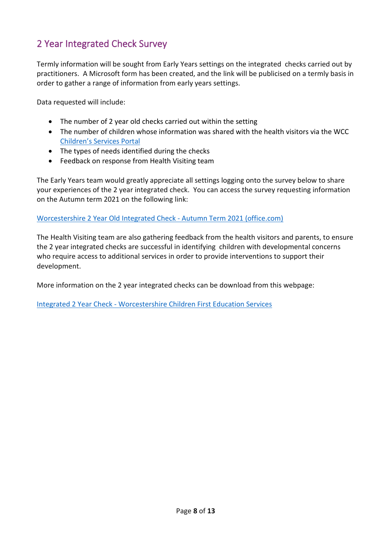# <span id="page-7-0"></span>2 Year Integrated Check Survey

Termly information will be sought from Early Years settings on the integrated checks carried out by practitioners. A Microsoft form has been created, and the link will be publicised on a termly basis in order to gather a range of information from early years settings.

Data requested will include:

- The number of 2 year old checks carried out within the setting
- The number of children whose information was shared with the health visitors via the WCC [Children's Services Portal](https://capublic.worcestershire.gov.uk/ChS_Theme/NoPermission.aspx)
- The types of needs identified during the checks
- Feedback on response from Health Visiting team

The Early Years team would greatly appreciate all settings logging onto the survey below to share your experiences of the 2 year integrated check. You can access the survey requesting information on the Autumn term 2021 on the following link:

#### [Worcestershire 2 Year Old Integrated Check -](https://forms.office.com/Pages/ResponsePage.aspx?id=hxj0rDe900WeZUfN5I3IWsURlASJL01Fh_oaGUQpH4tUQ0w0VTZXTUNIVVNSSE5OU1pPUk5YVDdIQy4u&wdLOR=c52480F1A-CEC5-45D6-B1C6-E79719B82BE3) Autumn Term 2021 (office.com)

The Health Visiting team are also gathering feedback from the health visitors and parents, to ensure the 2 year integrated checks are successful in identifying children with developmental concerns who require access to additional services in order to provide interventions to support their development.

More information on the 2 year integrated checks can be download from this webpage:

Integrated 2 Year Check - [Worcestershire Children First Education Services](https://www.worcestershire.gov.uk/WCFEducationServices/info/15/early-years-1/108/integrated-2-year-check)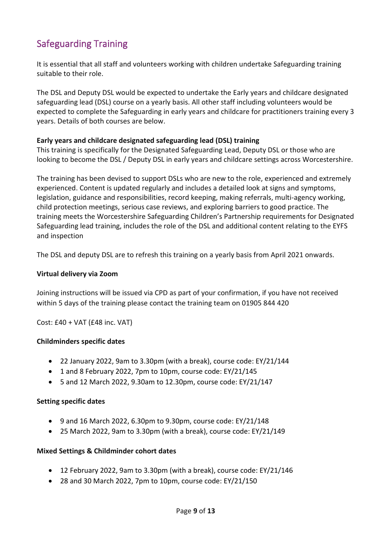# <span id="page-8-0"></span>Safeguarding Training

It is essential that all staff and volunteers working with children undertake Safeguarding training suitable to their role.

The DSL and Deputy DSL would be expected to undertake the Early years and childcare designated safeguarding lead (DSL) course on a yearly basis. All other staff including volunteers would be expected to complete the Safeguarding in early years and childcare for practitioners training every 3 years. Details of both courses are below.

### **Early years and childcare designated safeguarding lead (DSL) training**

This training is specifically for the Designated Safeguarding Lead, Deputy DSL or those who are looking to become the DSL / Deputy DSL in early years and childcare settings across Worcestershire.

The training has been devised to support DSLs who are new to the role, experienced and extremely experienced. Content is updated regularly and includes a detailed look at signs and symptoms, legislation, guidance and responsibilities, record keeping, making referrals, multi-agency working, child protection meetings, serious case reviews, and exploring barriers to good practice. The training meets the Worcestershire Safeguarding Children's Partnership requirements for Designated Safeguarding lead training, includes the role of the DSL and additional content relating to the EYFS and inspection

The DSL and deputy DSL are to refresh this training on a yearly basis from April 2021 onwards.

#### **Virtual delivery via Zoom**

Joining instructions will be issued via CPD as part of your confirmation, if you have not received within 5 days of the training please contact the training team on 01905 844 420

Cost: £40 + VAT (£48 inc. VAT)

#### **Childminders specific dates**

- 22 January 2022, 9am to 3.30pm (with a break), course code: EY/21/144
- 1 and 8 February 2022, 7pm to 10pm, course code: EY/21/145
- 5 and 12 March 2022, 9.30am to 12.30pm, course code: EY/21/147

#### **Setting specific dates**

- 9 and 16 March 2022, 6.30pm to 9.30pm, course code: EY/21/148
- 25 March 2022, 9am to 3.30pm (with a break), course code: EY/21/149

#### **Mixed Settings & Childminder cohort dates**

- 12 February 2022, 9am to 3.30pm (with a break), course code: EY/21/146
- 28 and 30 March 2022, 7pm to 10pm, course code: EY/21/150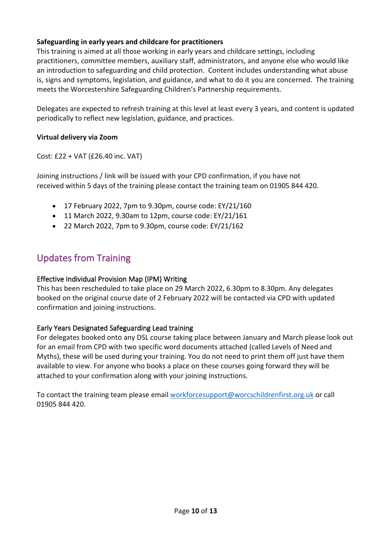### **Safeguarding in early years and childcare for practitioners**

This training is aimed at all those working in early years and childcare settings, including practitioners, committee members, auxiliary staff, administrators, and anyone else who would like an introduction to safeguarding and child protection. Content includes understanding what abuse is, signs and symptoms, legislation, and guidance, and what to do it you are concerned. The training meets the Worcestershire Safeguarding Children's Partnership requirements.

Delegates are expected to refresh training at this level at least every 3 years, and content is updated periodically to reflect new legislation, guidance, and practices.

#### **Virtual delivery via Zoom**

Cost: £22 + VAT (£26.40 inc. VAT)

Joining instructions / link will be issued with your CPD confirmation, if you have not received within 5 days of the training please contact the training team on 01905 844 420.

- 17 February 2022, 7pm to 9.30pm, course code: EY/21/160
- 11 March 2022, 9.30am to 12pm, course code: EY/21/161
- 22 March 2022, 7pm to 9.30pm, course code: EY/21/162

### <span id="page-9-0"></span>Updates from Training

### Effective Individual Provision Map (IPM) Writing

This has been rescheduled to take place on 29 March 2022, 6.30pm to 8.30pm. Any delegates booked on the original course date of 2 February 2022 will be contacted via CPD with updated confirmation and joining instructions.

### Early Years Designated Safeguarding Lead training

For delegates booked onto any DSL course taking place between January and March please look out for an email from CPD with two specific word documents attached (called Levels of Need and Myths), these will be used during your training. You do not need to print them off just have them available to view. For anyone who books a place on these courses going forward they will be attached to your confirmation along with your joining instructions.

To contact the training team please email [workforcesupport@worcschildrenfirst.org.uk](mailto:workforcesupport@worcschildrenfirst.org.uk) or call 01905 844 420.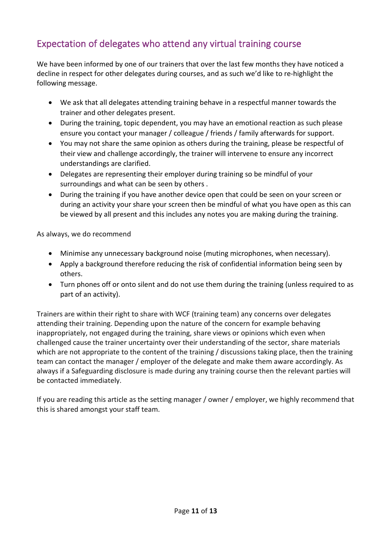# <span id="page-10-0"></span>Expectation of delegates who attend any virtual training course

We have been informed by one of our trainers that over the last few months they have noticed a decline in respect for other delegates during courses, and as such we'd like to re-highlight the following message.

- We ask that all delegates attending training behave in a respectful manner towards the trainer and other delegates present.
- During the training, topic dependent, you may have an emotional reaction as such please ensure you contact your manager / colleague / friends / family afterwards for support.
- You may not share the same opinion as others during the training, please be respectful of their view and challenge accordingly, the trainer will intervene to ensure any incorrect understandings are clarified.
- Delegates are representing their employer during training so be mindful of your surroundings and what can be seen by others .
- During the training if you have another device open that could be seen on your screen or during an activity your share your screen then be mindful of what you have open as this can be viewed by all present and this includes any notes you are making during the training.

As always, we do recommend

- Minimise any unnecessary background noise (muting microphones, when necessary).
- Apply a background therefore reducing the risk of confidential information being seen by others.
- Turn phones off or onto silent and do not use them during the training (unless required to as part of an activity).

Trainers are within their right to share with WCF (training team) any concerns over delegates attending their training. Depending upon the nature of the concern for example behaving inappropriately, not engaged during the training, share views or opinions which even when challenged cause the trainer uncertainty over their understanding of the sector, share materials which are not appropriate to the content of the training / discussions taking place, then the training team can contact the manager / employer of the delegate and make them aware accordingly. As always if a Safeguarding disclosure is made during any training course then the relevant parties will be contacted immediately.

If you are reading this article as the setting manager / owner / employer, we highly recommend that this is shared amongst your staff team.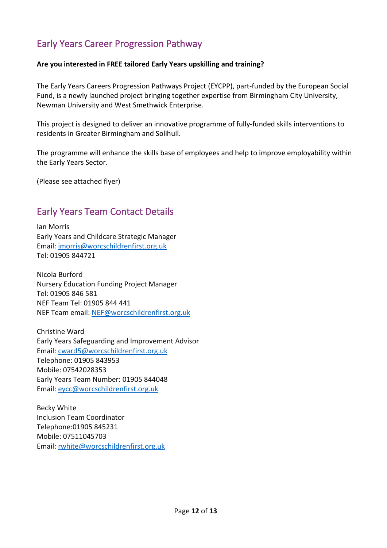## <span id="page-11-0"></span>Early Years Career Progression Pathway

### **Are you interested in FREE tailored Early Years upskilling and training?**

The Early Years Careers Progression Pathways Project (EYCPP), part-funded by the European Social Fund, is a newly launched project bringing together expertise from Birmingham City University, Newman University and West Smethwick Enterprise.

This project is designed to deliver an innovative programme of fully-funded skills interventions to residents in Greater Birmingham and Solihull.

The programme will enhance the skills base of employees and help to improve employability within the Early Years Sector.

(Please see attached flyer)

## <span id="page-11-1"></span>Early Years Team Contact Details

Ian Morris Early Years and Childcare Strategic Manager Email: [imorris@worcschildrenfirst.org.uk](mailto:imorris@worcschildrenfirst.org.uk) Tel: 01905 844721

Nicola Burford Nursery Education Funding Project Manager Tel: 01905 846 581 NEF Team Tel: 01905 844 441 NEF Team email: [NEF@worcschildrenfirst.org.uk](mailto:NEF@worcschildrenfirst.org.uk)

Christine Ward Early Years Safeguarding and Improvement Advisor Email: [cward5@worcschildrenfirst.org.uk](mailto:cward5@worcschildrenfirst.org.uk) Telephone: 01905 843953 Mobile: 07542028353 Early Years Team Number: 01905 844048 Email: [eycc@worcschildrenfirst.org.uk](mailto:eycc@worcschildrenfirst.org.uk)

Becky White Inclusion Team Coordinator Telephone:01905 845231 Mobile: 07511045703 Email: [rwhite@worcschildrenfirst.org.uk](mailto:rwhite@worcschildrenfirst.org.uk)